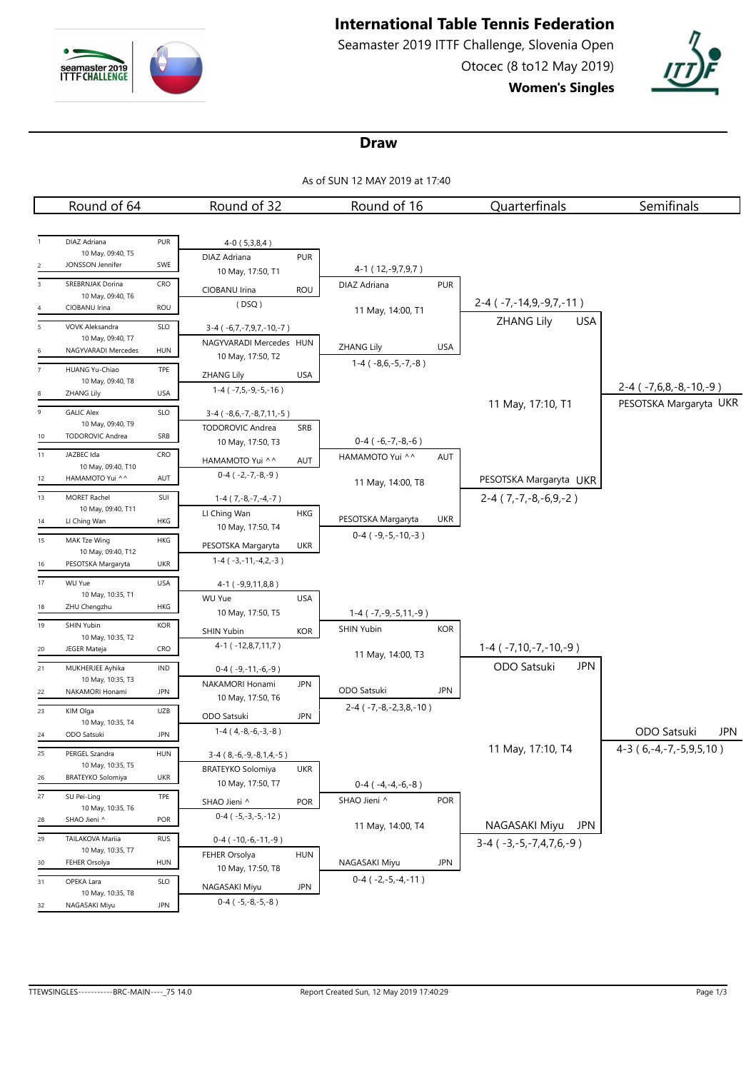

# **International Table Tennis Federation**

Seamaster 2019 ITTF Challenge, Slovenia Open Otocec (8 to12 May 2019) **Women's Singles**



#### **Draw**

As of SUN 12 MAY 2019 at 17:40

|                | Round of 64                               |            | Round of 32                                              | Round of 16                       | Quarterfinals                      | Semifinals                   |
|----------------|-------------------------------------------|------------|----------------------------------------------------------|-----------------------------------|------------------------------------|------------------------------|
|                |                                           |            |                                                          |                                   |                                    |                              |
|                | DIAZ Adriana                              | PUR        | $4-0(5,3,8,4)$                                           |                                   |                                    |                              |
|                | 10 May, 09:40, T5                         |            | <b>PUR</b><br>DIAZ Adriana                               |                                   |                                    |                              |
| $\overline{2}$ | JONSSON Jennifer                          | SWE        | 10 May, 17:50, T1                                        | 4-1 ( 12, -9, 7, 9, 7 )           |                                    |                              |
| $\overline{3}$ | SREBRNJAK Dorina                          | CRO        | CIOBANU Irina<br><b>ROU</b>                              | <b>PUR</b><br>DIAZ Adriana        |                                    |                              |
| 4              | 10 May, 09:40, T6<br>CIOBANU Irina        | ROU        | (DSQ)                                                    | 11 May, 14:00, T1                 | $2-4$ ( $-7, -14, 9, -9, 7, -11$ ) |                              |
| $\overline{5}$ | VOVK Aleksandra                           | SLO        | 3-4 (-6,7,-7,9,7,-10,-7)                                 |                                   | ZHANG Lily<br><b>USA</b>           |                              |
|                | 10 May, 09:40, T7                         |            | NAGYVARADI Mercedes HUN                                  |                                   |                                    |                              |
| 6              | NAGYVARADI Mercedes                       | <b>HUN</b> | 10 May, 17:50, T2                                        | <b>ZHANG Lily</b><br><b>USA</b>   |                                    |                              |
| $\overline{7}$ | HUANG Yu-Chiao                            | TPE        | <b>ZHANG Lily</b><br>USA                                 | $1-4(-8,6,-5,-7,-8)$              |                                    |                              |
| 8              | 10 May, 09:40, T8<br>ZHANG Lily           | <b>USA</b> | $1-4$ ( $-7,5,-9,-5,-16$ )                               |                                   |                                    | $2-4$ ( $-7,6,8,-8,-10,-9$ ) |
|                |                                           |            |                                                          |                                   | 11 May, 17:10, T1                  | PESOTSKA Margaryta UKR       |
| 9              | <b>GALIC Alex</b><br>10 May, 09:40, T9    | SLO        | $3-4$ ( $-8,6,-7,-8,7,11,-5$ )                           |                                   |                                    |                              |
| 10             | <b>TODOROVIC Andrea</b>                   | SRB        | <b>TODOROVIC Andrea</b><br>SRB<br>10 May, 17:50, T3      | $0-4$ ( $-6,-7,-8,-6$ )           |                                    |                              |
| 11             | JAZBEC Ida                                | CRO        | HAMAMOTO Yui ^^<br>AUT                                   | HAMAMOTO Yui ^^<br>AUT            |                                    |                              |
|                | 10 May, 09:40, T10                        |            | $0-4$ ( $-2,-7,-8,-9$ )                                  |                                   |                                    |                              |
| 12             | HAMAMOTO Yui ^^                           | AUT        |                                                          | 11 May, 14:00, T8                 | PESOTSKA Margaryta UKR             |                              |
| 13             | <b>MORET Rachel</b><br>10 May, 09:40, T11 | SUI        | $1-4$ ( $7,-8,-7,-4,-7$ )                                |                                   | $2-4$ (7, -7, -8, -6, 9, -2)       |                              |
| 14             | LI Ching Wan                              | HKG        | LI Ching Wan<br><b>HKG</b>                               | PESOTSKA Margaryta<br><b>UKR</b>  |                                    |                              |
| 15             | MAK Tze Wing                              | HKG        | 10 May, 17:50, T4                                        | $0-4$ ( $-9,-5,-10,-3$ )          |                                    |                              |
|                | 10 May, 09:40, T12                        |            | PESOTSKA Margaryta<br><b>UKR</b>                         |                                   |                                    |                              |
| 16             | PESOTSKA Margaryta                        | <b>UKR</b> | $1-4$ ( $-3,-11,-4,2,-3$ )                               |                                   |                                    |                              |
| 17             | <b>WU Yue</b>                             | <b>USA</b> | 4-1 (-9,9,11,8,8)                                        |                                   |                                    |                              |
| 18             | 10 May, 10:35, T1<br>ZHU Chengzhu         | HKG        | <b>WU Yue</b><br><b>USA</b>                              |                                   |                                    |                              |
|                |                                           |            | 10 May, 17:50, T5                                        | $1-4$ ( $-7, -9, -5, 11, -9$ )    |                                    |                              |
| 19             | <b>SHIN Yubin</b><br>10 May, 10:35, T2    | <b>KOR</b> | SHIN Yubin<br><b>KOR</b>                                 | <b>SHIN Yubin</b><br><b>KOR</b>   |                                    |                              |
| 20             | JEGER Mateja                              | CRO        | 4-1 (-12,8,7,11,7)                                       | 11 May, 14:00, T3                 | $1-4$ ( $-7,10,-7,-10,-9$ )        |                              |
| 21             | MUKHERJEE Ayhika                          | IND        | $0-4$ ( $-9,-11,-6,-9$ )                                 |                                   | ODO Satsuki<br><b>JPN</b>          |                              |
|                | 10 May, 10:35, T3                         |            | NAKAMORI Honami<br><b>JPN</b>                            | ODO Satsuki<br><b>JPN</b>         |                                    |                              |
| 22             | NAKAMORI Honami                           | <b>JPN</b> | 10 May, 17:50, T6                                        | $2-4$ ( $-7, -8, -2, 3, 8, -10$ ) |                                    |                              |
| 23             | KIM Olga<br>10 May, 10:35, T4             | UZB        | ODO Satsuki<br><b>JPN</b>                                |                                   |                                    |                              |
| 24             | ODO Satsuki                               | <b>JPN</b> | $1-4(4,-8,-6,-3,-8)$                                     |                                   |                                    | ODO Satsuki<br>JPN           |
| 25             | PERGEL Szandra                            | <b>HUN</b> | $3-4$ ( $8,-6,-9,-8,1,4,-5$ )                            |                                   | 11 May, 17:10, T4                  | $4-3(6,-4,-7,-5,9,5,10)$     |
|                | 10 May, 10:35, T5                         |            | BRATEYKO Solomiya UKR                                    |                                   |                                    |                              |
| 26             | <b>BRATEYKO Solomiya</b>                  | UKR        | 10 May, 17:50, T7                                        | $0-4$ ( $-4,-4,-6,-8$ )           |                                    |                              |
| 27             | SU Pei-Ling                               | TPE        | <b>POR</b><br>SHAO Jieni ^                               | SHAO Jieni ^<br><b>POR</b>        |                                    |                              |
| 28             | 10 May, 10:35, T6<br>SHAO Jieni ^         | POR        | $0-4$ ( $-5,-3,-5,-12$ )                                 |                                   |                                    |                              |
| 29             | TAILAKOVA Mariia                          | <b>RUS</b> |                                                          | 11 May, 14:00, T4                 | NAGASAKI Miyu JPN                  |                              |
|                | 10 May, 10:35, T7                         |            | $0-4$ ( $-10,-6,-11,-9$ )<br>FEHER Orsolya<br><b>HUN</b> |                                   | $3-4$ ( $-3,-5,-7,4,7,6,-9$ )      |                              |
| 30             | FEHER Orsolya                             | HUN        | 10 May, 17:50, T8                                        | NAGASAKI Miyu<br><b>JPN</b>       |                                    |                              |
| 31             | OPEKA Lara                                | SLO        | <b>JPN</b><br>NAGASAKI Miyu                              | $0-4$ ( $-2,-5,-4,-11$ )          |                                    |                              |
|                | 10 May, 10:35, T8                         |            | $0-4$ ( $-5,-8,-5,-8$ )                                  |                                   |                                    |                              |
| 32             | NAGASAKI Miyu                             | <b>JPN</b> |                                                          |                                   |                                    |                              |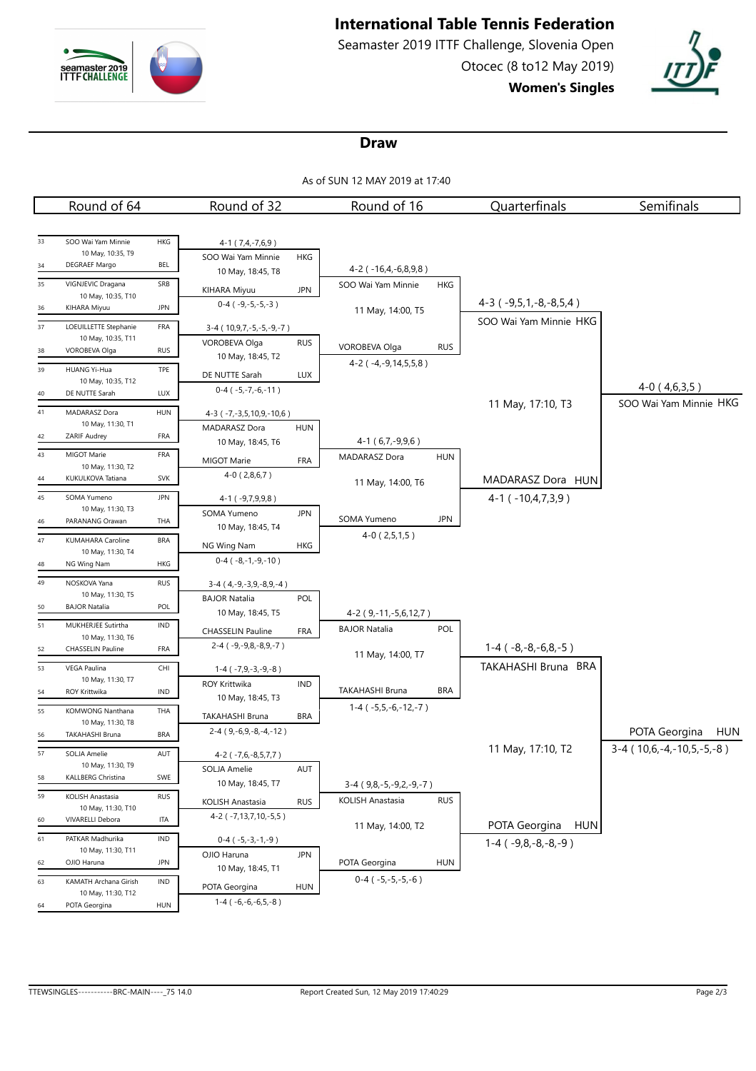

# **International Table Tennis Federation**

Seamaster 2019 ITTF Challenge, Slovenia Open Otocec (8 to12 May 2019) **Women's Singles**



#### **Draw**

As of SUN 12 MAY 2019 at 17:40

|    | Round of 64                               |            | Round of 32                               |            | Round of 16                   |            | Quarterfinals                | Semifinals                       |
|----|-------------------------------------------|------------|-------------------------------------------|------------|-------------------------------|------------|------------------------------|----------------------------------|
|    |                                           |            |                                           |            |                               |            |                              |                                  |
| 33 | SOO Wai Yam Minnie                        | HKG        | $4-1$ (7,4,-7,6,9)                        |            |                               |            |                              |                                  |
|    | 10 May, 10:35, T9                         |            | SOO Wai Yam Minnie                        | HKG        |                               |            |                              |                                  |
| 34 | DEGRAEF Margo                             | BEL        | 10 May, 18:45, T8                         |            | 4-2 (-16,4,-6,8,9,8)          |            |                              |                                  |
| 35 | VIGNJEVIC Dragana<br>10 May, 10:35, T10   | SRB        | KIHARA Miyuu                              | <b>JPN</b> | SOO Wai Yam Minnie            | <b>HKG</b> |                              |                                  |
| 36 | KIHARA Miyuu                              | <b>JPN</b> | $0-4$ ( $-9,-5,-5,-3$ )                   |            | 11 May, 14:00, T5             |            | $4-3$ ( $-9,5,1,-8,-8,5,4$ ) |                                  |
| 37 | LOEUILLETTE Stephanie                     | FRA        | 3-4 (10, 9, 7, -5, -5, -9, -7)            |            |                               |            | SOO Wai Yam Minnie HKG       |                                  |
|    | 10 May, 10:35, T11                        |            | <b>VOROBEVA Olga</b>                      | <b>RUS</b> |                               |            |                              |                                  |
| 38 | VOROBEVA Olga                             | <b>RUS</b> | 10 May, 18:45, T2                         |            | VOROBEVA Olga                 | <b>RUS</b> |                              |                                  |
| 39 | HUANG Yi-Hua                              | TPE        | DE NUTTE Sarah                            | <b>LUX</b> | 4-2 (-4,-9,14,5,5,8)          |            |                              |                                  |
| 40 | 10 May, 10:35, T12<br>DE NUTTE Sarah      | LUX        | $0-4$ ( $-5,-7,-6,-11$ )                  |            |                               |            |                              | $4-0(4,6,3,5)$                   |
|    |                                           |            |                                           |            |                               |            | 11 May, 17:10, T3            | SOO Wai Yam Minnie HKG           |
| 41 | MADARASZ Dora<br>10 May, 11:30, T1        | <b>HUN</b> | 4-3 (-7,-3,5,10,9,-10,6)<br>MADARASZ Dora | <b>HUN</b> |                               |            |                              |                                  |
| 42 | ZARIF Audrey                              | FRA        | 10 May, 18:45, T6                         |            | $4-1(6,7,-9,9,6)$             |            |                              |                                  |
| 43 | MIGOT Marie                               | FRA        | MIGOT Marie                               | FRA        | MADARASZ Dora                 | <b>HUN</b> |                              |                                  |
|    | 10 May, 11:30, T2                         |            | $4-0(2,8,6,7)$                            |            |                               |            |                              |                                  |
| 44 | KUKULKOVA Tatiana                         | <b>SVK</b> |                                           |            | 11 May, 14:00, T6             |            | MADARASZ Dora HUN            |                                  |
| 45 | SOMA Yumeno<br>10 May, 11:30, T3          | <b>JPN</b> | 4-1 ( -9,7,9,9,8 )                        |            |                               |            | $4-1$ ( $-10,4,7,3,9$ )      |                                  |
| 46 | PARANANG Orawan                           | THA        | SOMA Yumeno                               | <b>JPN</b> | SOMA Yumeno                   | <b>JPN</b> |                              |                                  |
| 47 | KUMAHARA Caroline                         | <b>BRA</b> | 10 May, 18:45, T4                         |            | $4-0(2,5,1,5)$                |            |                              |                                  |
|    | 10 May, 11:30, T4                         |            | NG Wing Nam                               | HKG        |                               |            |                              |                                  |
| 48 | NG Wing Nam                               | HKG        | $0-4$ ( $-8,-1,-9,-10$ )                  |            |                               |            |                              |                                  |
| 49 | NOSKOVA Yana                              | <b>RUS</b> | $3-4$ (4, -9, -3, 9, -8, 9, -4)           |            |                               |            |                              |                                  |
| 50 | 10 May, 11:30, T5<br><b>BAJOR Natalia</b> | POL        | <b>BAJOR Natalia</b>                      | POL        |                               |            |                              |                                  |
| 51 | MUKHERJEE Sutirtha                        | <b>IND</b> | 10 May, 18:45, T5                         |            | 4-2 (9,-11,-5,6,12,7)         |            |                              |                                  |
|    | 10 May, 11:30, T6                         |            | <b>CHASSELIN Pauline</b>                  | FRA        | <b>BAJOR Natalia</b>          | <b>POL</b> |                              |                                  |
| 52 | <b>CHASSELIN Pauline</b>                  | FRA        | $2-4$ ( $-9, -9, 8, -8, 9, -7$ )          |            | 11 May, 14:00, T7             |            | $1-4$ ( $-8,-8,-6,8,-5$ )    |                                  |
| 53 | VEGA Paulina                              | CHI        | $1-4$ ( $-7,9,-3,-9,-8$ )                 |            |                               |            | TAKAHASHI Bruna BRA          |                                  |
| 54 | 10 May, 11:30, T7<br><b>ROY Krittwika</b> | IND        | ROY Krittwika                             | IND        | TAKAHASHI Bruna               | <b>BRA</b> |                              |                                  |
|    |                                           |            | 10 May, 18:45, T3                         |            | $1-4$ ( $-5,5,-6,-12,-7$ )    |            |                              |                                  |
| 55 | KOMWONG Nanthana<br>10 May, 11:30, T8     | THA        | TAKAHASHI Bruna                           | <b>BRA</b> |                               |            |                              |                                  |
| 56 | TAKAHASHI Bruna                           | <b>BRA</b> | $2-4$ (9,-6,9,-8,-4,-12)                  |            |                               |            |                              | POTA Georgina<br><b>HUN</b>      |
| 57 | SOLJA Amelie                              | AUT        | $4-2$ ( $-7,6,-8,5,7,7$ )                 |            |                               |            | 11 May, 17:10, T2            | $3-4$ (10,6, -4, -10, 5, -5, -8) |
|    | 10 May, 11:30, T9                         |            | SOLJA Amelie                              | AUT        |                               |            |                              |                                  |
| 58 | KALLBERG Christina                        | SWE        | 10 May, 18:45, T7                         |            | $3-4$ (9,8, -5, -9,2, -9, -7) |            |                              |                                  |
| 59 | KOLISH Anastasia<br>10 May, 11:30, T10    | <b>RUS</b> | KOLISH Anastasia                          | <b>RUS</b> | KOLISH Anastasia              | <b>RUS</b> |                              |                                  |
| 60 | VIVARELLI Debora                          | <b>ITA</b> | 4-2 (-7,13,7,10,-5,5)                     |            |                               |            | POTA Georgina HUN            |                                  |
| 61 | PATKAR Madhurika                          | IND        | $0-4$ ( $-5,-3,-1,-9$ )                   |            | 11 May, 14:00, T2             |            |                              |                                  |
|    | 10 May, 11:30, T11                        |            | OJIO Haruna                               | <b>JPN</b> |                               |            | $1-4$ ( $-9,8,-8,-8,-9$ )    |                                  |
| 62 | OJIO Haruna                               | JPN        | 10 May, 18:45, T1                         |            | POTA Georgina                 | <b>HUN</b> |                              |                                  |
| 63 | KAMATH Archana Girish                     | <b>IND</b> | POTA Georgina                             | <b>HUN</b> | $0-4$ ( $-5,-5,-5,-6$ )       |            |                              |                                  |
| 64 | 10 May, 11:30, T12<br>POTA Georgina       | <b>HUN</b> | $1-4$ ( $-6,-6,-6,5,-8$ )                 |            |                               |            |                              |                                  |